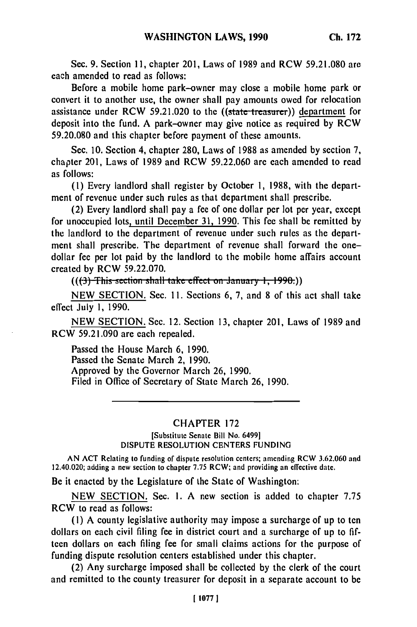Sec. **9.** Section **11,** chapter 201, Laws of 1989 and RCW 59.21.080 are each amended to read as follows:

Before a mobile home park-owner may close a mobile home park or convert it to another use, the owner shall pay amounts owed for relocation assistance under RCW 59.21.020 to the  $((\text{state-treasure}))$  department for deposit into the fund. A park-owner may give notice as required by RCW 59.20.080 and this chapter before payment of these amounts.

Sec. 10. Section 4, chapter 280, Laws of 1988 as amended by section 7, chapter 201, Laws of 1989 and RCW 59.22.060 are each amended to read as follows:

**(1)** Every landlord shall register by October 1, 1988, with the department of revenue under such rules as that department shall prescribe.

(2) Every landlord shall pay a fee of one dollar per lot per year, except for unoccupied lots, until December **31,** 1990. This fee shall be remitted by the landlord to the department of revenue under such rules as the department shall prescribe. The department of revenue shall forward the onedollar fee per lot paid by the landlord to the mobile home affairs account created by RCW 59.22.070.

 $((3)$  This section shall take effect on January 1, 1990.)

NEW SECTION. Sec. 11. Sections 6, 7, and 8 of this act shall take effect July 1, 1990.

NEW SECTION. Sec. 12. Section 13, chapter 201, Laws of 1989 and RCW 59.21.090 are each repealed.

Passed the House March 6, 1990. Passed the Senate March 2, 1990. Approved by the Governor March 26, 1990. Filed in Office of Secretary of State March 26, 1990.

## CHAPTER 172

## [Substitute Senate Bill No. 6499] DISPUTE RESOLUTION CENTERS FUNDING

AN ACT Relating to funding of dispute resolution centers; amending RCW 3.62.060 and 12.40.020; adding a new section to chapter 7.75 RCW; and providing an effective date.

Be it enacted by the Legislature of the State of Washington:

NEW SECTION. Sec. I. A new section is added to chapter 7.75 RCW to read as follows:

**(1)** A county legislative authority may impose a surcharge of up to ten dollars on each civil filing fee in district court and a surcharge of up to fifteen dollars on each filing fee for small claims actions for the purpose of funding dispute resolution centers established under this chapter.

(2) Any surcharge imposed shall be collected by the clerk of the court and remitted to the county treasurer for deposit in a separate account to be